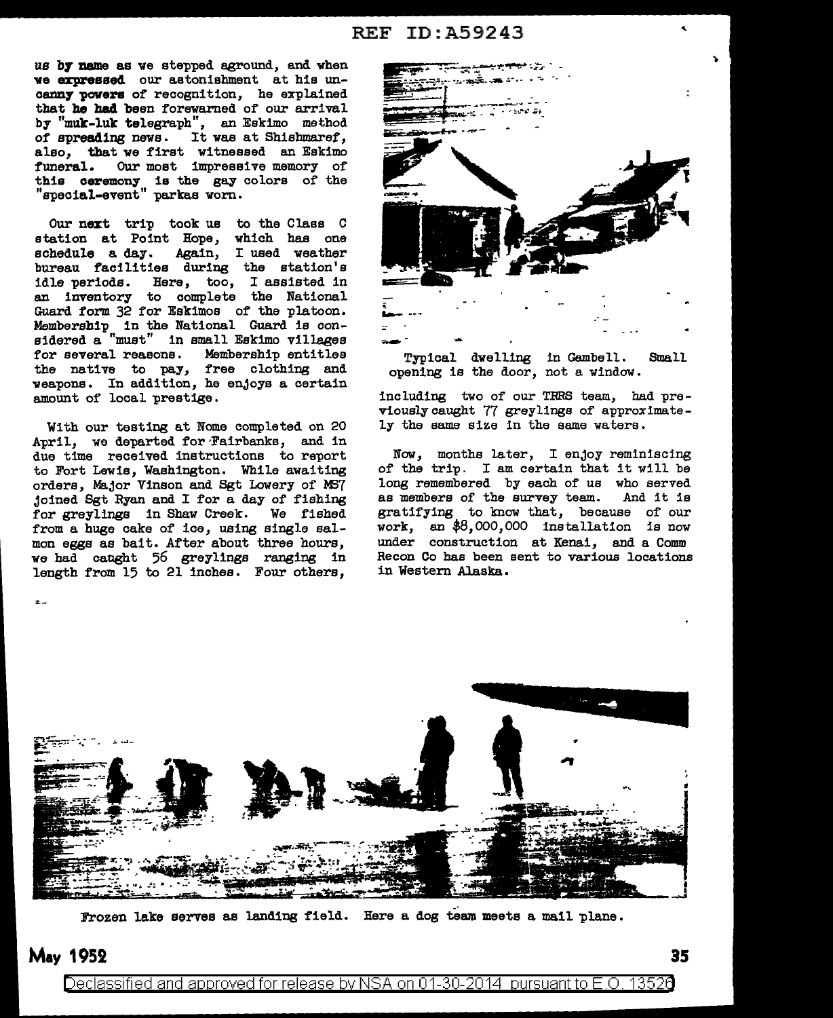## REF ID:A59243

us by name as we stepped aground, and when we expressed our astonishment at his unoenn7 powers of recognition, he explained that he had been forewarned of our arrival by "muk-luk telegraph", an Eskimo method of spreading news. It was at Shishmaref, also, that we first witnessed an Eskimo<br>funeral. Our most impressive memory of Our most impressive memory of this ceremony is the gay colors of the "special-event" parkas worn.

Our next trip took us to the Class C station at Point Hope, which has one schedule a day. Again, I used weather bureau facilities during the station's idle periods. Here, too, I assisted in an inventory to complete the National Guard form 32 for Eskimos of the platoon. Membership in the National Guard is considered a "must" in small Eskimo villages for several reasons. Membership entitles the native to pay, free clothing and weapons. In addition, he enjoys a certain amount of local prestige.

With our testing at Nome completed on 20 April, we departed for Fairbanks, and in due time received instructions to report to Fort Lewis, Washington. While awaiting orders, Major Vinson and Sgt Lowery of M37 joined Sgt Ryan and I for a day of fishing for greylings in Shaw Creek. We fished from a huge cake of ice, using single salmon eggs as bait. After about three hours, we had caught 56 greylings ranging in length from 15 to 21 inches. Four others,



Typical dwelling in Gembell. Small opening is the door, not a window.

including two of our TRRS team, had previously caught 77 greylings of approximately the same size in the same waters.

Now, months later, I enjoy reminiscing of the trip. I am certain that it will be long remembered by each of us who served<br>as members of the survey team. And it is as members of the survey team. gratifying to know that, because of our work, an \$8,000,000 installation is now under construction at Kenai, and a Comm Recon Co has been sent to various locations in Western Alaska.



Frozen lake serves as landing field. Here a dog team meets a mail plane.

# **May** 1952 **3**

 $\mathbf{z}$  .

Declassified and approved for release by NSA on 01-30-2014 pursuant to E.O. 13526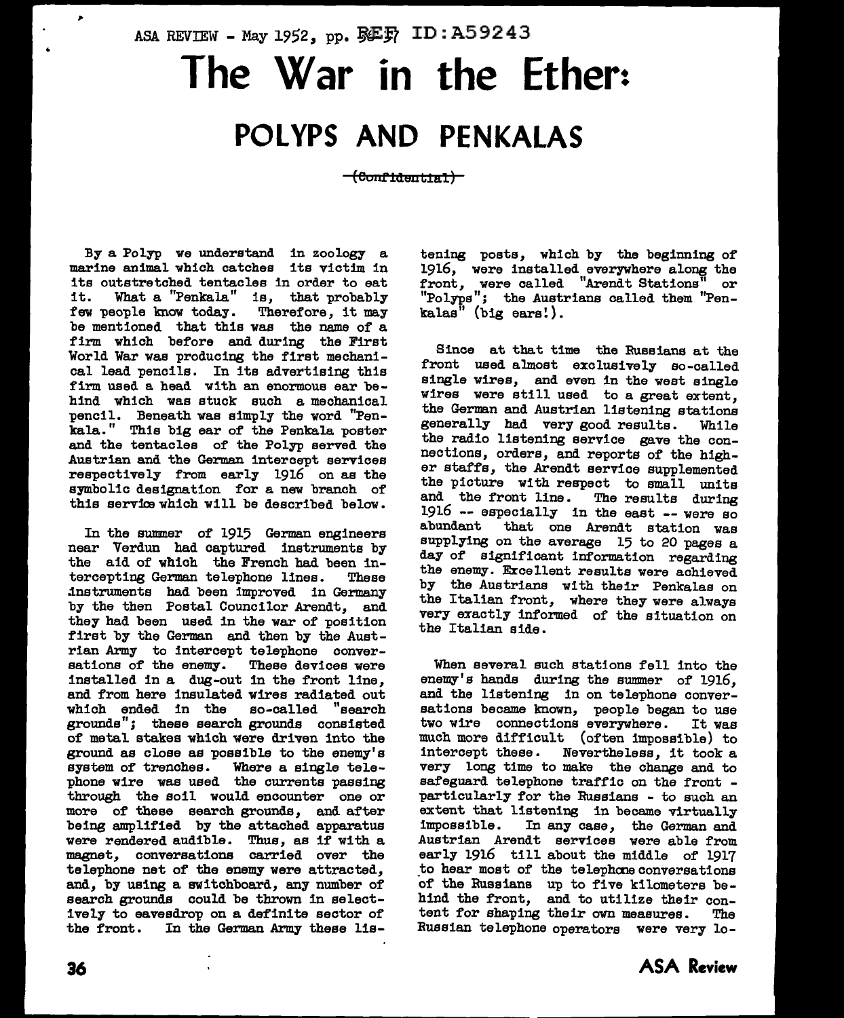# ASA REVIEW - May 1952, pp.  $\mathbb{S}\mathbb{E} \mathbb{F}$  ID: A59243 **The War in the Ether:** POLYPS AND PENKALAS

<del>(Confidential)</del>

By a Polyp we understand in zoology a marine animal which catches its victim in its outstretched tentacles in order to eat it. What a "Penkala" is, that probably few people know today. Therefore, it may be mentioned that this was the name of a firm which before and during the First World War was producing the first mechanical lead pencils. In its advertising this firm used a head with an enormous ear behind which was stuck such a mechanical pencil. Beneath was simply the word "Penkala." Thie big ear of the Penkala poster and the tentacles of the Polyp served the Austrian and the German intercept services respectively from early 1916 on as the symbolic designation for a new branch of this service which will be described below.

In the summer of 1915 German engineers near Verdun had captured instruments by the aid of which the French had been in-<br>tercepting German telephone lines. These tercepting German telephone lines. dnstruments had been improved in Germany by the then Postal Councilor Arendt, and they had been used in the war of position first by the German and then by the Austrian Army to intercept telephone conversations of the enemy. These devices were installed in a dug-out in the front line, and from here insulated wires radiated out which ended in the so-called "search grounds"; these search grounds consisted of metal stakes which were driven into the ground as close as possible to the enemy's system of trenches. Where a single telephone wire was used the currents passing through the soil would encounter one or more of these search grounds, and after being amplified by the attached apparatus were rendered audible. Thus, as if with a magnet, conversations carried over the telephone net of the enemy were attracted, and, by using a switchboard, any number of search grounds could be thrown in selectively to eavesdrop on a definite sector of In the German Army these listening poets, which by the beginning of 1916, were installed everywhere along the front, were called "Arendt Stations" or "Polyps"; the Austrians called them "Pen $kala<sup>n</sup>$  (big ears!).

Since at that time the Russians at the front used almost exclusively so-called single wires, and even in the west single wires were still used to a great extent, the German and Austrian listening stations generally had very good results. While the radio listening service gave the connections, orders, and reports of the higher staffs, the Arendt service supplemented the picture with respect to small units and the front line. The results during 1916 -- especially in the east -- were so<br>abundant that one Arendt station was that one Arendt station was supplying on the average 15 to 20 pages a day of significant information regarding the enemy. Excellent results were achieved by the Austrians with their Penkalae on the Italian front, where they were always very exactly informed of the situation on the Italian side.

When several such stations fell into the enemy's hands during the summer of 1916, and the listening in on telephone conversations became known, people began to use two wire connections everywhere. It was much more difficult (often impossible) to intercept these. Nevertheless, it took a very long time to make the change and to particularly for the Russians - to such an extent that listening in became virtually<br>impossible. In any case, the German and In any case, the German and Austrian Arendt services were able from early 1916 till about the middle of 1917 to hear most of the telephone conversations of the Russians up to five kilometers behind the front, and to utilize their content for shaping their own measures. The Russian telephone operators were very lo-

,.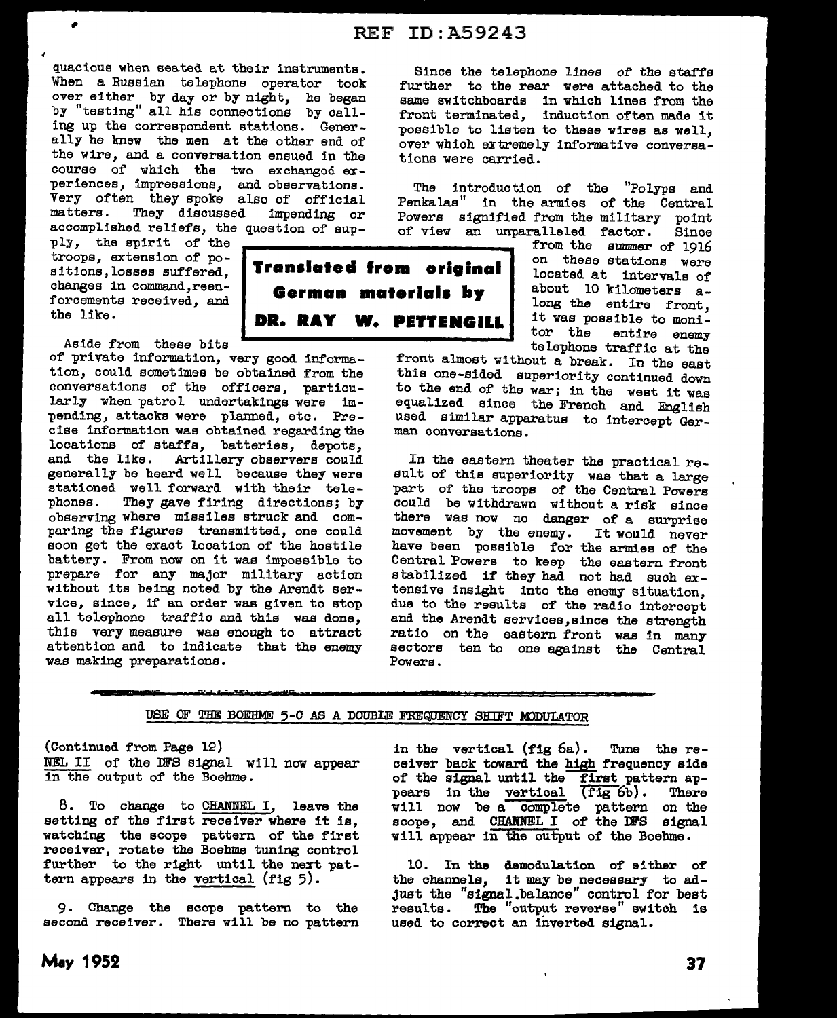quacious when seated at their instruments. When a Russian telephone operator took over either by day or by night, he began by "testing" all his connections by calling up the correspondent stations. Generally he knew the men at the other end of the wire, and a conversation ensued in the course of which the two exchangod experiences, impressions, and observations. Very often they spoke also of official matters. They discussed impending or accomplished reliefs, the question of sup-

ply, the spirit of the troops, extension of positions, losses suffered, changes in command,reenforcements received, and the like.

Aside from these bits

of private information, very good information, could sometimes be obtained from the conversations of the officers, particularly when patrol undertakings were impending, attacks were planned, etc. Precise information was obtained regarding the locations of staffs, batteries, depots, and the like. Artillery observers could generally be heard well because they were stationed well forward with their telephones. They gave firing directions; by observing where missiles struck and comparing the figures transmitted, one could soon get the exact location of the hostile battery. From now on it was impossible to prepare for any major military action without its being noted by the Arendt service, since, if an order was given to stop all telephone traffic and this was done, this very measure was enough to attract attention and to indicate that the enemy was making preparations.

Since the telephone lines of the staffs further to the rear were attached to the same switchboards in which lines from the front terminated, induction often made it possible to listen to these wires as well, over which extremely informative conversations were carried.

The introduction of the "Polyps and Penkalas" in the armies of the Central Powers signified from the military point of view an unparalleled factor. Since

from the summer of 1916 on these stations were located at intervals of about 10 kilometers along the entire front, it was possible to moni-<br>tor the entire enemy entire enemy telephone traffic at the

front almost without a break. In the east this one-sided superiority continued down to the end of the war; in the west it was equalized since the French and English used similar apparatus to intercept German conversations.

In the eastern theater the practical result of this superiority was that a large part of the troops of the Central Powers could be withdrawn without a risk since there was now no danger of a surprise<br>movement by the enemy. It would never movement by the enemy. have been possible for the armies of the Central Powers to keep the eastern front stabilized if they had not had such extensive insight into the enemy situation, due to the results of the radio intercept and the Arendt services,since the strength ratio on the eastern front was in many sectors ten to one against the Central Powers.

#### USE OF THE BOEHME 5-C AS A DOUBLE FREQUENCY SHIFT MODULATOR

**Translated from orlglnal German materlals by** 

**DR. RAY W. PETTENGILL** 

(Continued from Page 12) NEL II of the DFS signal will now appear in the output of the Boehme.

8. To change to CHANNEL I, leave the setting of the first receiver where it is, watching the scope pattern of the first receiver, rotate the Boehme tuning control further to the right until the next pattern appears in the vertical (fig 5).

9. Change the scope pattern to the second receiver. There will be no pattern

in the vertical (fig 6a). Tune the receiver back toward the high frequency aide of the signal until the first pattern ap-<br>pears in the vertical (fig 6b). There pears in the vertical  $(fig 6b)$ . will now be a complete pattern on the scope, and CHANNEL I of the DFS signal will appear in the output of the Boehme.

10. In the demodulation of either of the channels, it may be necessary to adjust the "signal .balance" control for best results. The "output reverse" switch is used to correct an inverted signal.